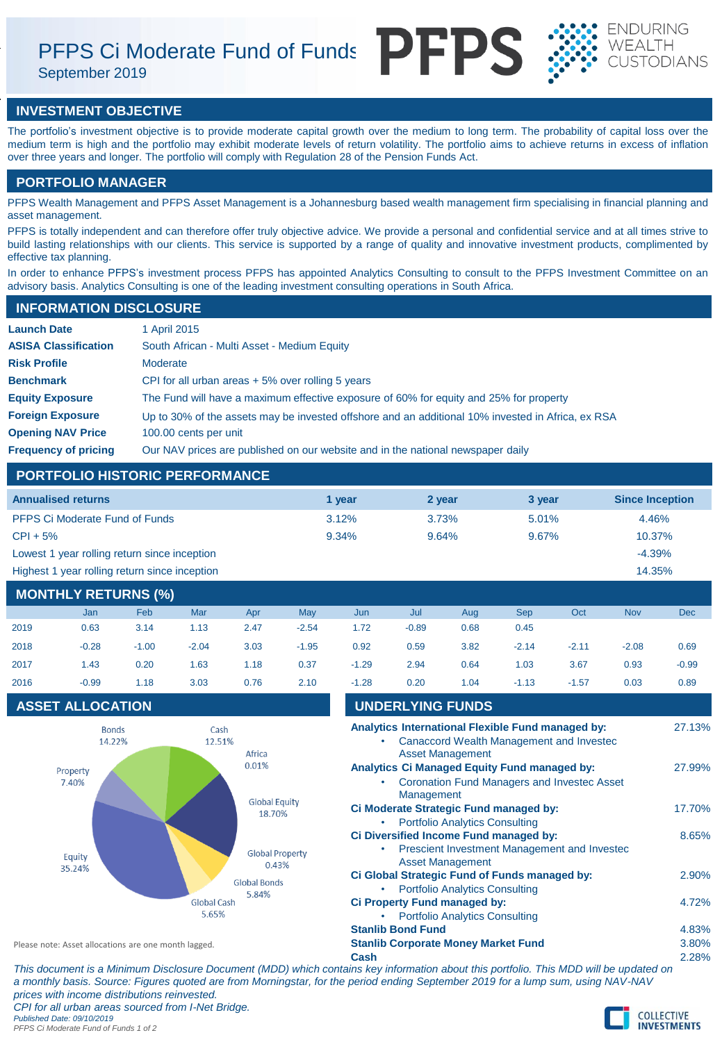PFPS Ci Moderate Fund of Funds PFPS

September 2019





### **INVESTMENT OBJECTIVE**

The portfolio's investment objective is to provide moderate capital growth over the medium to long term. The probability of capital loss over the medium term is high and the portfolio may exhibit moderate levels of return volatility. The portfolio aims to achieve returns in excess of inflation over three years and longer. The portfolio will comply with Regulation 28 of the Pension Funds Act.

### **PORTFOLIO MANAGER**

PFPS Wealth Management and PFPS Asset Management is a Johannesburg based wealth management firm specialising in financial planning and asset management.

PFPS is totally independent and can therefore offer truly objective advice. We provide a personal and confidential service and at all times strive to build lasting relationships with our clients. This service is supported by a range of quality and innovative investment products, complimented by effective tax planning.

In order to enhance PFPS's investment process PFPS has appointed Analytics Consulting to consult to the PFPS Investment Committee on an advisory basis. Analytics Consulting is one of the leading investment consulting operations in South Africa.

# **Launch Date** 1 April 2015 **INFORMATION DISCLOSURE**

| <b>ASISA Classification</b> | South African - Multi Asset - Medium Equity                                                       |
|-----------------------------|---------------------------------------------------------------------------------------------------|
| <b>Risk Profile</b>         | Moderate                                                                                          |
| <b>Benchmark</b>            | CPI for all urban areas $+5\%$ over rolling 5 years                                               |
| <b>Equity Exposure</b>      | The Fund will have a maximum effective exposure of 60% for equity and 25% for property            |
| <b>Foreign Exposure</b>     | Up to 30% of the assets may be invested offshore and an additional 10% invested in Africa, ex RSA |
| <b>Opening NAV Price</b>    | 100.00 cents per unit                                                                             |
| <b>Frequency of pricing</b> | Our NAV prices are published on our website and in the national newspaper daily                   |

### **PORTFOLIO HISTORIC PERFORMANCE**

| <b>Annualised returns</b>                     | 1 vear | 2 year | 3 year | <b>Since Inception</b> |
|-----------------------------------------------|--------|--------|--------|------------------------|
| <b>PFPS Ci Moderate Fund of Funds</b>         | 3.12%  | 3.73%  | 5.01%  | 4.46%                  |
| $CPI + 5%$                                    | 9.34%  | 9.64%  | 9.67%  | 10.37%                 |
| Lowest 1 year rolling return since inception  |        |        |        | $-4.39%$               |
| Highest 1 year rolling return since inception |        |        |        | 14.35%                 |

## **MONTHLY RETURNS (%)**

|      | Jan     | Feb     | Mar     | Apr  | May     | Jun     | Jul     | Aug  | Sep     | Oct     | <b>Nov</b> | <b>Dec</b> |
|------|---------|---------|---------|------|---------|---------|---------|------|---------|---------|------------|------------|
| 2019 | 0.63    | 3.14    | 1.13    | 2.47 | $-2.54$ | 1.72    | $-0.89$ | 0.68 | 0.45    |         |            |            |
| 2018 | $-0.28$ | $-1.00$ | $-2.04$ | 3.03 | $-1.95$ | 0.92    | 0.59    | 3.82 | $-2.14$ | $-2.11$ | $-2.08$    | 0.69       |
| 2017 | 1.43    | 0.20    | 1.63    | 1.18 | 0.37    | $-1.29$ | 2.94    | 0.64 | 1.03    | 3.67    | 0.93       | $-0.99$    |
| 2016 | $-0.99$ | 1.18    | 3.03    | 0.76 | 2.10    | $-1.28$ | 0.20    | 1.04 | $-1.13$ | $-1.57$ | 0.03       | 0.89       |
|      |         |         |         |      |         |         |         |      |         |         |            |            |

### **ASSET ALLOCATION**



| <b>UNDERLYING FUNDS</b>                                                                                                 |        |
|-------------------------------------------------------------------------------------------------------------------------|--------|
| Analytics International Flexible Fund managed by:<br>Canaccord Wealth Management and Investec                           | 27.13% |
| <b>Asset Management</b>                                                                                                 |        |
| <b>Analytics Ci Managed Equity Fund managed by:</b><br><b>Coronation Fund Managers and Investec Asset</b><br>Management | 27.99% |
| Ci Moderate Strategic Fund managed by:                                                                                  | 17.70% |
| <b>Portfolio Analytics Consulting</b>                                                                                   |        |
| Ci Diversified Income Fund managed by:                                                                                  | 8.65%  |
| Prescient Investment Management and Investec<br><b>Asset Management</b>                                                 |        |
| Ci Global Strategic Fund of Funds managed by:                                                                           | 2.90%  |
| <b>Portfolio Analytics Consulting</b>                                                                                   |        |
| Ci Property Fund managed by:                                                                                            | 4.72%  |
| <b>Portfolio Analytics Consulting</b>                                                                                   |        |
| <b>Stanlib Bond Fund</b>                                                                                                | 4.83%  |
| <b>Stanlib Corporate Money Market Fund</b>                                                                              | 3.80%  |
| Cash                                                                                                                    | 2.28%  |

*This document is a Minimum Disclosure Document (MDD) which contains key information about this portfolio. This MDD will be updated on a monthly basis. Source: Figures quoted are from Morningstar, for the period ending September 2019 for a lump sum, using NAV-NAV prices with income distributions reinvested. CPI for all urban areas sourced from I-Net Bridge.*

Please note: Asset allocations are one month lagged.